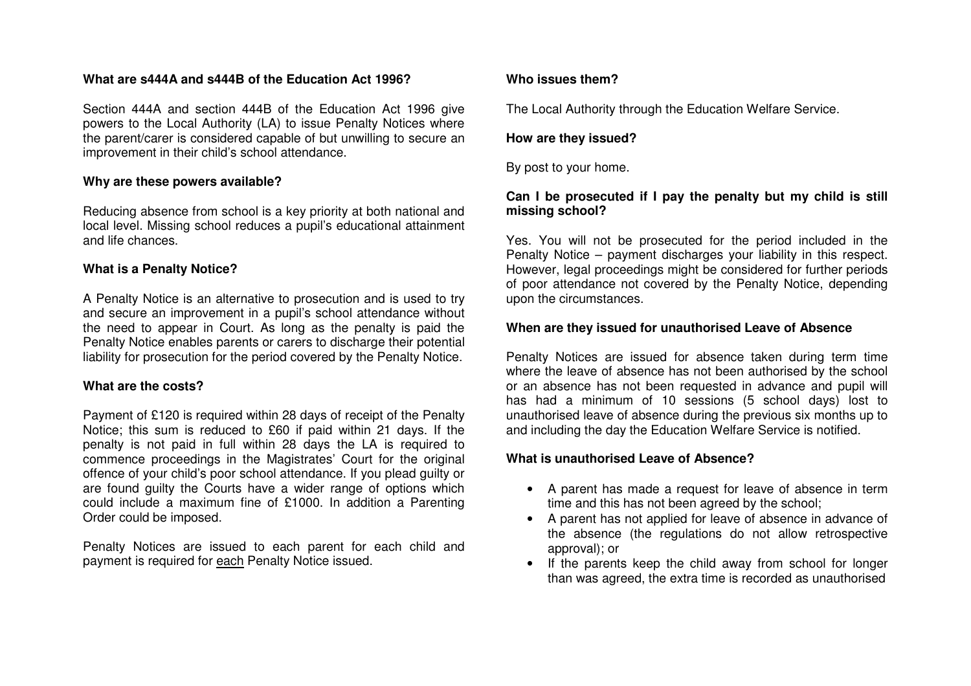# **What are s444A and s444B of the Education Act 1996?**

Section 444A and section 444B of the Education Act 1996 give powers to the Local Authority (LA) to issue Penalty Notices where the parent/carer is considered capable of but unwilling to secure an improvement in their child's school attendance.

#### **Why are these powers available?**

Reducing absence from school is a key priority at both national and local level. Missing school reduces a pupil's educational attainment and life chances.

#### **What is a Penalty Notice?**

A Penalty Notice is an alternative to prosecution and is used to try and secure an improvement in a pupil's school attendance without the need to appear in Court. As long as the penalty is paid the Penalty Notice enables parents or carers to discharge their potential liability for prosecution for the period covered by the Penalty Notice.

#### **What are the costs?**

Payment of £120 is required within 28 days of receipt of the Penalty Notice; this sum is reduced to £60 if paid within 21 days. If the penalty is not paid in full within 28 days the LA is required to commence proceedings in the Magistrates' Court for the original offence of your child's poor school attendance. If you plead guilty or are found guilty the Courts have a wider range of options which could include a maximum fine of £1000. In addition a Parenting Order could be imposed.

Penalty Notices are issued to each parent for each child and payment is required for each Penalty Notice issued.

#### **Who issues them?**

The Local Authority through the Education Welfare Service.

#### **How are they issued?**

By post to your home.

### **Can I be prosecuted if I pay the penalty but my child is still missing school?**

Yes. You will not be prosecuted for the period included in the Penalty Notice – payment discharges your liability in this respect. However, legal proceedings might be considered for further periods of poor attendance not covered by the Penalty Notice, depending upon the circumstances.

#### **When are they issued for unauthorised Leave of Absence**

Penalty Notices are issued for absence taken during term time where the leave of absence has not been authorised by the school or an absence has not been requested in advance and pupil will has had a minimum of 10 sessions (5 school days) lost to unauthorised leave of absence during the previous six months up to and including the day the Education Welfare Service is notified.

#### **What is unauthorised Leave of Absence?**

- A parent has made a request for leave of absence in term time and this has not been agreed by the school;
- A parent has not applied for leave of absence in advance of the absence (the regulations do not allow retrospective approval); or
- If the parents keep the child away from school for longer than was agreed, the extra time is recorded as unauthorised